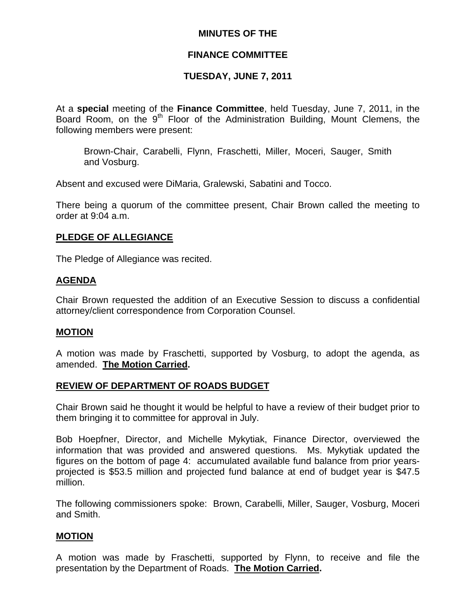## **MINUTES OF THE**

## **FINANCE COMMITTEE**

## **TUESDAY, JUNE 7, 2011**

At a **special** meeting of the **Finance Committee**, held Tuesday, June 7, 2011, in the Board Room, on the 9<sup>th</sup> Floor of the Administration Building, Mount Clemens, the following members were present:

Brown-Chair, Carabelli, Flynn, Fraschetti, Miller, Moceri, Sauger, Smith and Vosburg.

Absent and excused were DiMaria, Gralewski, Sabatini and Tocco.

There being a quorum of the committee present, Chair Brown called the meeting to order at 9:04 a.m.

## **PLEDGE OF ALLEGIANCE**

The Pledge of Allegiance was recited.

### **AGENDA**

Chair Brown requested the addition of an Executive Session to discuss a confidential attorney/client correspondence from Corporation Counsel.

### **MOTION**

A motion was made by Fraschetti, supported by Vosburg, to adopt the agenda, as amended. **The Motion Carried.** 

### **REVIEW OF DEPARTMENT OF ROADS BUDGET**

Chair Brown said he thought it would be helpful to have a review of their budget prior to them bringing it to committee for approval in July.

Bob Hoepfner, Director, and Michelle Mykytiak, Finance Director, overviewed the information that was provided and answered questions. Ms. Mykytiak updated the figures on the bottom of page 4: accumulated available fund balance from prior yearsprojected is \$53.5 million and projected fund balance at end of budget year is \$47.5 million.

The following commissioners spoke: Brown, Carabelli, Miller, Sauger, Vosburg, Moceri and Smith.

## **MOTION**

A motion was made by Fraschetti, supported by Flynn, to receive and file the presentation by the Department of Roads. **The Motion Carried.**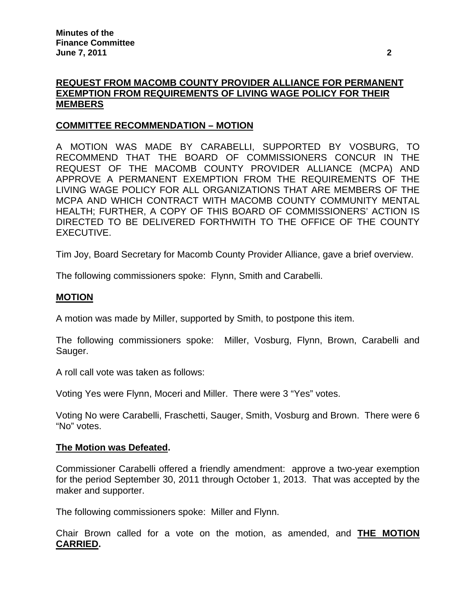# **REQUEST FROM MACOMB COUNTY PROVIDER ALLIANCE FOR PERMANENT EXEMPTION FROM REQUIREMENTS OF LIVING WAGE POLICY FOR THEIR MEMBERS**

## **COMMITTEE RECOMMENDATION – MOTION**

A MOTION WAS MADE BY CARABELLI, SUPPORTED BY VOSBURG, TO RECOMMEND THAT THE BOARD OF COMMISSIONERS CONCUR IN THE REQUEST OF THE MACOMB COUNTY PROVIDER ALLIANCE (MCPA) AND APPROVE A PERMANENT EXEMPTION FROM THE REQUIREMENTS OF THE LIVING WAGE POLICY FOR ALL ORGANIZATIONS THAT ARE MEMBERS OF THE MCPA AND WHICH CONTRACT WITH MACOMB COUNTY COMMUNITY MENTAL HEALTH; FURTHER, A COPY OF THIS BOARD OF COMMISSIONERS' ACTION IS DIRECTED TO BE DELIVERED FORTHWITH TO THE OFFICE OF THE COUNTY EXECUTIVE.

Tim Joy, Board Secretary for Macomb County Provider Alliance, gave a brief overview.

The following commissioners spoke: Flynn, Smith and Carabelli.

### **MOTION**

A motion was made by Miller, supported by Smith, to postpone this item.

The following commissioners spoke: Miller, Vosburg, Flynn, Brown, Carabelli and Sauger.

A roll call vote was taken as follows:

Voting Yes were Flynn, Moceri and Miller. There were 3 "Yes" votes.

Voting No were Carabelli, Fraschetti, Sauger, Smith, Vosburg and Brown. There were 6 "No" votes.

### **The Motion was Defeated.**

Commissioner Carabelli offered a friendly amendment: approve a two-year exemption for the period September 30, 2011 through October 1, 2013. That was accepted by the maker and supporter.

The following commissioners spoke: Miller and Flynn.

Chair Brown called for a vote on the motion, as amended, and **THE MOTION CARRIED.**